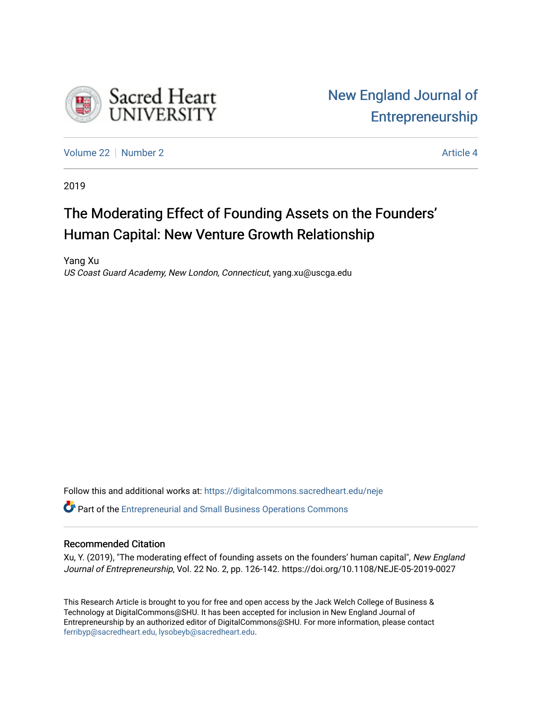

[Volume 22](https://digitalcommons.sacredheart.edu/neje/vol22) [Number 2](https://digitalcommons.sacredheart.edu/neje/vol22/iss2) Article 4

2019

# The Moderating Effect of Founding Assets on the Founders' Human Capital: New Venture Growth Relationship

Yang Xu US Coast Guard Academy, New London, Connecticut, yang.xu@uscga.edu

Follow this and additional works at: [https://digitalcommons.sacredheart.edu/neje](https://digitalcommons.sacredheart.edu/neje?utm_source=digitalcommons.sacredheart.edu%2Fneje%2Fvol22%2Fiss2%2F4&utm_medium=PDF&utm_campaign=PDFCoverPages) 

**P** Part of the Entrepreneurial and Small Business Operations Commons

# Recommended Citation

Xu, Y. (2019), "The moderating effect of founding assets on the founders' human capital", New England Journal of Entrepreneurship, Vol. 22 No. 2, pp. 126-142. https://doi.org/10.1108/NEJE-05-2019-0027

This Research Article is brought to you for free and open access by the Jack Welch College of Business & Technology at DigitalCommons@SHU. It has been accepted for inclusion in New England Journal of Entrepreneurship by an authorized editor of DigitalCommons@SHU. For more information, please contact [ferribyp@sacredheart.edu, lysobeyb@sacredheart.edu.](mailto:ferribyp@sacredheart.edu,%20lysobeyb@sacredheart.edu)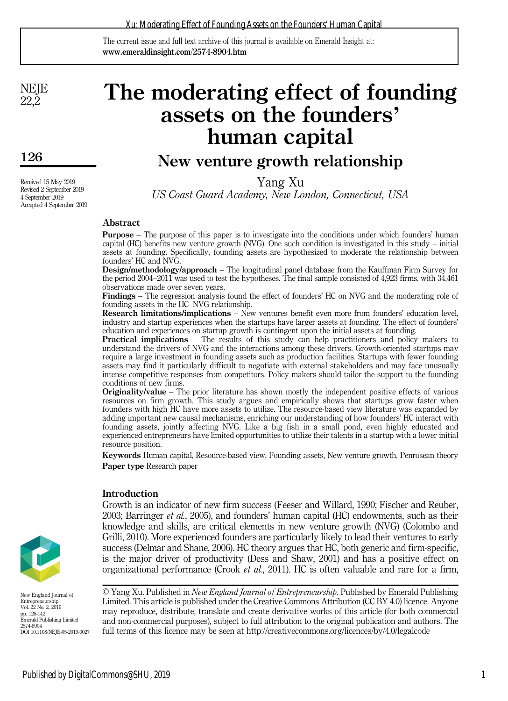The current issue and full text archive of this journal is available on Emerald Insight at: www.emeraldinsight.com/2574-8904.htm

**NEJE** 22,2

126

Received 15 May 2019 Revised 2 September 2019 4 September 2019 Accepted 4 September 2019

# The moderating effect of founding assets on the founders' human capital

# New venture growth relationship

Yang Xu

US Coast Guard Academy, New London, Connecticut, USA

# Abstract

Purpose – The purpose of this paper is to investigate into the conditions under which founders' human capital (HC) benefits new venture growth (NVG). One such condition is investigated in this study – initial assets at founding. Specifically, founding assets are hypothesized to moderate the relationship between founders' HC and NVG.

Design/methodology/approach – The longitudinal panel database from the Kauffman Firm Survey for the period 2004–2011 was used to test the hypotheses. The final sample consisted of 4,923 firms, with 34,461 observations made over seven years.

Findings – The regression analysis found the effect of founders' HC on NVG and the moderating role of founding assets in the HC–NVG relationship.

Research limitations/implications – New ventures benefit even more from founders' education level, industry and startup experiences when the startups have larger assets at founding. The effect of founders' education and experiences on startup growth is contingent upon the initial assets at founding.

**Practical implications** – The results of this study can help practitioners and policy makers to understand the drivers of NVG and the interactions among these drivers. Growth-oriented startups may require a large investment in founding assets such as production facilities. Startups with fewer founding assets may find it particularly difficult to negotiate with external stakeholders and may face unusually intense competitive responses from competitors. Policy makers should tailor the support to the founding conditions of new firms.

Originality/value – The prior literature has shown mostly the independent positive effects of various resources on firm growth. This study argues and empirically shows that startups grow faster when founders with high HC have more assets to utilize. The resource-based view literature was expanded by adding important new causal mechanisms, enriching our understanding of how founders' HC interact with founding assets, jointly affecting NVG. Like a big fish in a small pond, even highly educated and experienced entrepreneurs have limited opportunities to utilize their talents in a startup with a lower initial resource position.

Keywords Human capital, Resource-based view, Founding assets, New venture growth, Penrosean theory Paper type Research paper

# **Introduction**

Growth is an indicator of new firm success (Feeser and Willard, 1990; Fischer and Reuber, 2003; Barringer et al., 2005), and founders' human capital (HC) endowments, such as their knowledge and skills, are critical elements in new venture growth (NVG) (Colombo and Grilli, 2010). More experienced founders are particularly likely to lead their ventures to early success (Delmar and Shane, 2006). HC theory argues that HC, both generic and firm-specific, is the major driver of productivity (Dess and Shaw, 2001) and has a positive effect on organizational performance (Crook et al., 2011). HC is often valuable and rare for a firm,

New England Journal of Entrepreneurship Vol. 22 No. 2, 2019 pp. 126-142 Emerald Publishing Limited

2574-8904 DOI 10.1108/NEJE-05-2019-0027

© Yang Xu. Published in New England Journal of Entrepreneurship. Published by Emerald Publishing Limited. This article is published under the Creative Commons Attribution (CC BY 4.0) licence. Anyone may reproduce, distribute, translate and create derivative works of this article (for both commercial and non-commercial purposes), subject to full attribution to the original publication and authors. The full terms of this licence may be seen at<http://creativecommons.org/licences/by/4.0/legalcode>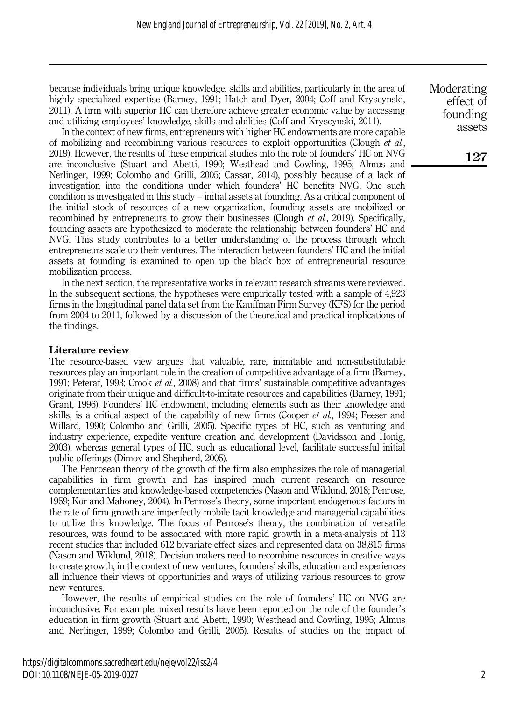because individuals bring unique knowledge, skills and abilities, particularly in the area of highly specialized expertise (Barney, 1991; Hatch and Dyer, 2004; Coff and Kryscynski, 2011). A firm with superior HC can therefore achieve greater economic value by accessing and utilizing employees' knowledge, skills and abilities (Coff and Kryscynski, 2011).

In the context of new firms, entrepreneurs with higher HC endowments are more capable of mobilizing and recombining various resources to exploit opportunities (Clough *et al.*, 2019). However, the results of these empirical studies into the role of founders' HC on NVG are inconclusive (Stuart and Abetti, 1990; Westhead and Cowling, 1995; Almus and Nerlinger, 1999; Colombo and Grilli, 2005; Cassar, 2014), possibly because of a lack of investigation into the conditions under which founders' HC benefits NVG. One such condition is investigated in this study – initial assets at founding. As a critical component of the initial stock of resources of a new organization, founding assets are mobilized or recombined by entrepreneurs to grow their businesses (Clough et al., 2019). Specifically, founding assets are hypothesized to moderate the relationship between founders' HC and NVG. This study contributes to a better understanding of the process through which entrepreneurs scale up their ventures. The interaction between founders' HC and the initial assets at founding is examined to open up the black box of entrepreneurial resource mobilization process.

In the next section, the representative works in relevant research streams were reviewed. In the subsequent sections, the hypotheses were empirically tested with a sample of 4,923 firms in the longitudinal panel data set from the Kauffman Firm Survey (KFS) for the period from 2004 to 2011, followed by a discussion of the theoretical and practical implications of the findings.

#### Literature review

The resource-based view argues that valuable, rare, inimitable and non-substitutable resources play an important role in the creation of competitive advantage of a firm (Barney, 1991; Peteraf, 1993; Crook et al., 2008) and that firms' sustainable competitive advantages originate from their unique and difficult-to-imitate resources and capabilities (Barney, 1991; Grant, 1996). Founders' HC endowment, including elements such as their knowledge and skills, is a critical aspect of the capability of new firms (Cooper *et al.*, 1994; Feeser and Willard, 1990; Colombo and Grilli, 2005). Specific types of HC, such as venturing and industry experience, expedite venture creation and development (Davidsson and Honig, 2003), whereas general types of HC, such as educational level, facilitate successful initial public offerings (Dimov and Shepherd, 2005).

The Penrosean theory of the growth of the firm also emphasizes the role of managerial capabilities in firm growth and has inspired much current research on resource complementarities and knowledge-based competencies (Nason and Wiklund, 2018; Penrose, 1959; Kor and Mahoney, 2004). In Penrose's theory, some important endogenous factors in the rate of firm growth are imperfectly mobile tacit knowledge and managerial capabilities to utilize this knowledge. The focus of Penrose's theory, the combination of versatile resources, was found to be associated with more rapid growth in a meta-analysis of 113 recent studies that included 612 bivariate effect sizes and represented data on 38,815 firms (Nason and Wiklund, 2018). Decision makers need to recombine resources in creative ways to create growth; in the context of new ventures, founders' skills, education and experiences all influence their views of opportunities and ways of utilizing various resources to grow new ventures.

However, the results of empirical studies on the role of founders' HC on NVG are inconclusive. For example, mixed results have been reported on the role of the founder's education in firm growth (Stuart and Abetti, 1990; Westhead and Cowling, 1995; Almus and Nerlinger, 1999; Colombo and Grilli, 2005). Results of studies on the impact of

Moderating effect of founding assets

127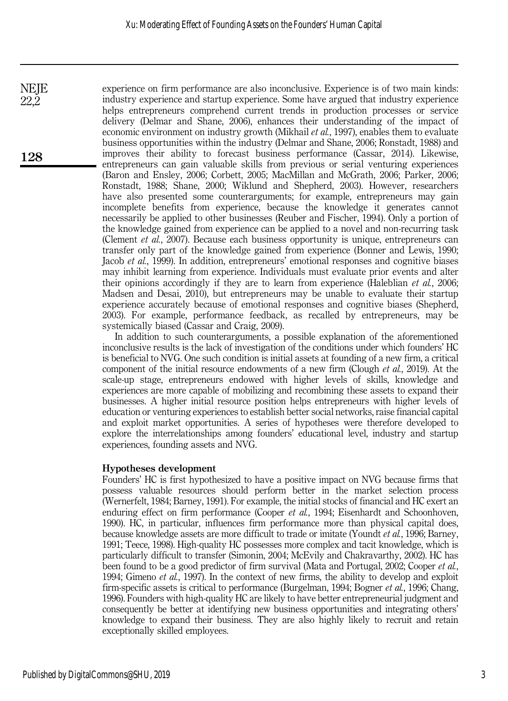experience on firm performance are also inconclusive. Experience is of two main kinds: industry experience and startup experience. Some have argued that industry experience helps entrepreneurs comprehend current trends in production processes or service delivery (Delmar and Shane, 2006), enhances their understanding of the impact of economic environment on industry growth (Mikhail et al., 1997), enables them to evaluate business opportunities within the industry (Delmar and Shane, 2006; Ronstadt, 1988) and improves their ability to forecast business performance (Cassar, 2014). Likewise, entrepreneurs can gain valuable skills from previous or serial venturing experiences (Baron and Ensley, 2006; Corbett, 2005; MacMillan and McGrath, 2006; Parker, 2006; Ronstadt, 1988; Shane, 2000; Wiklund and Shepherd, 2003). However, researchers have also presented some counterarguments; for example, entrepreneurs may gain incomplete benefits from experience, because the knowledge it generates cannot necessarily be applied to other businesses (Reuber and Fischer, 1994). Only a portion of the knowledge gained from experience can be applied to a novel and non-recurring task (Clement et al., 2007). Because each business opportunity is unique, entrepreneurs can transfer only part of the knowledge gained from experience (Bonner and Lewis, 1990; Jacob et al., 1999). In addition, entrepreneurs' emotional responses and cognitive biases may inhibit learning from experience. Individuals must evaluate prior events and alter their opinions accordingly if they are to learn from experience (Haleblian *et al.*, 2006; Madsen and Desai, 2010), but entrepreneurs may be unable to evaluate their startup experience accurately because of emotional responses and cognitive biases (Shepherd, 2003). For example, performance feedback, as recalled by entrepreneurs, may be systemically biased (Cassar and Craig, 2009).

In addition to such counterarguments, a possible explanation of the aforementioned inconclusive results is the lack of investigation of the conditions under which founders' HC is beneficial to NVG. One such condition is initial assets at founding of a new firm, a critical component of the initial resource endowments of a new firm (Clough et al., 2019). At the scale-up stage, entrepreneurs endowed with higher levels of skills, knowledge and experiences are more capable of mobilizing and recombining these assets to expand their businesses. A higher initial resource position helps entrepreneurs with higher levels of education or venturing experiences to establish better social networks, raise financial capital and exploit market opportunities. A series of hypotheses were therefore developed to explore the interrelationships among founders' educational level, industry and startup experiences, founding assets and NVG.

#### Hypotheses development

Founders' HC is first hypothesized to have a positive impact on NVG because firms that possess valuable resources should perform better in the market selection process (Wernerfelt, 1984; Barney, 1991). For example, the initial stocks of financial and HC exert an enduring effect on firm performance (Cooper *et al.*, 1994; Eisenhardt and Schoonhoven, 1990). HC, in particular, influences firm performance more than physical capital does, because knowledge assets are more difficult to trade or imitate (Youndt et al., 1996; Barney, 1991; Teece, 1998). High-quality HC possesses more complex and tacit knowledge, which is particularly difficult to transfer (Simonin, 2004; McEvily and Chakravarthy, 2002). HC has been found to be a good predictor of firm survival (Mata and Portugal, 2002; Cooper et al., 1994; Gimeno et al., 1997). In the context of new firms, the ability to develop and exploit firm-specific assets is critical to performance (Burgelman, 1994; Bogner et al., 1996; Chang, 1996). Founders with high-quality HC are likely to have better entrepreneurial judgment and consequently be better at identifying new business opportunities and integrating others' knowledge to expand their business. They are also highly likely to recruit and retain exceptionally skilled employees.

128

**NEJE** 22,2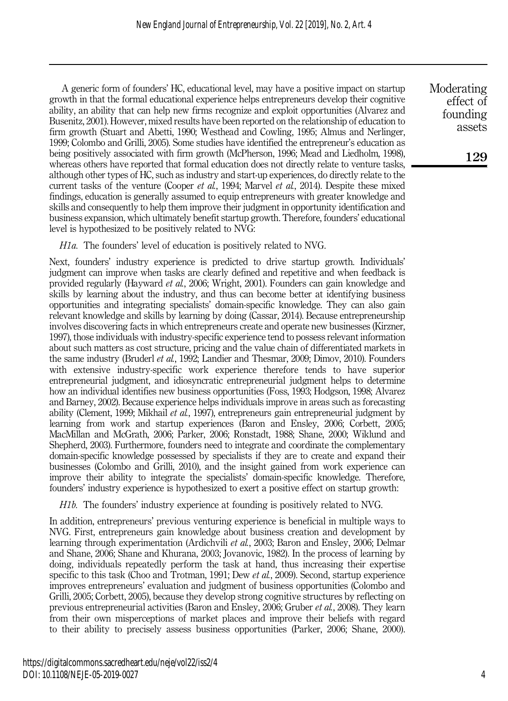A generic form of founders' HC, educational level, may have a positive impact on startup growth in that the formal educational experience helps entrepreneurs develop their cognitive ability, an ability that can help new firms recognize and exploit opportunities (Alvarez and Busenitz, 2001). However, mixed results have been reported on the relationship of education to firm growth (Stuart and Abetti, 1990; Westhead and Cowling, 1995; Almus and Nerlinger, 1999; Colombo and Grilli, 2005). Some studies have identified the entrepreneur's education as being positively associated with firm growth (McPherson, 1996; Mead and Liedholm, 1998), whereas others have reported that formal education does not directly relate to venture tasks, although other types of HC, such as industry and start-up experiences, do directly relate to the current tasks of the venture (Cooper *et al.*, 1994; Marvel *et al.*, 2014). Despite these mixed findings, education is generally assumed to equip entrepreneurs with greater knowledge and skills and consequently to help them improve their judgment in opportunity identification and business expansion, which ultimately benefit startup growth. Therefore, founders' educational level is hypothesized to be positively related to NVG:

H<sub>1a</sub>. The founders' level of education is positively related to NVG.

Next, founders' industry experience is predicted to drive startup growth. Individuals' judgment can improve when tasks are clearly defined and repetitive and when feedback is provided regularly (Hayward et al., 2006; Wright, 2001). Founders can gain knowledge and skills by learning about the industry, and thus can become better at identifying business opportunities and integrating specialists' domain-specific knowledge. They can also gain relevant knowledge and skills by learning by doing (Cassar, 2014). Because entrepreneurship involves discovering facts in which entrepreneurs create and operate new businesses (Kirzner, 1997), those individuals with industry-specific experience tend to possess relevant information about such matters as cost structure, pricing and the value chain of differentiated markets in the same industry (Bruderl et al., 1992; Landier and Thesmar, 2009; Dimov, 2010). Founders with extensive industry-specific work experience therefore tends to have superior entrepreneurial judgment, and idiosyncratic entrepreneurial judgment helps to determine how an individual identifies new business opportunities (Foss, 1993; Hodgson, 1998; Alvarez and Barney, 2002). Because experience helps individuals improve in areas such as forecasting ability (Clement, 1999; Mikhail et al., 1997), entrepreneurs gain entrepreneurial judgment by learning from work and startup experiences (Baron and Ensley, 2006; Corbett, 2005; MacMillan and McGrath, 2006; Parker, 2006; Ronstadt, 1988; Shane, 2000; Wiklund and Shepherd, 2003). Furthermore, founders need to integrate and coordinate the complementary domain-specific knowledge possessed by specialists if they are to create and expand their businesses (Colombo and Grilli, 2010), and the insight gained from work experience can improve their ability to integrate the specialists' domain-specific knowledge. Therefore, founders' industry experience is hypothesized to exert a positive effect on startup growth:

H1b. The founders' industry experience at founding is positively related to NVG.

In addition, entrepreneurs' previous venturing experience is beneficial in multiple ways to NVG. First, entrepreneurs gain knowledge about business creation and development by learning through experimentation (Ardichvili et al., 2003; Baron and Ensley, 2006; Delmar and Shane, 2006; Shane and Khurana, 2003; Jovanovic, 1982). In the process of learning by doing, individuals repeatedly perform the task at hand, thus increasing their expertise specific to this task (Choo and Trotman, 1991; Dew *et al.*, 2009). Second, startup experience improves entrepreneurs' evaluation and judgment of business opportunities (Colombo and Grilli, 2005; Corbett, 2005), because they develop strong cognitive structures by reflecting on previous entrepreneurial activities (Baron and Ensley, 2006; Gruber et al., 2008). They learn from their own misperceptions of market places and improve their beliefs with regard to their ability to precisely assess business opportunities (Parker, 2006; Shane, 2000). Moderating effect of founding assets

129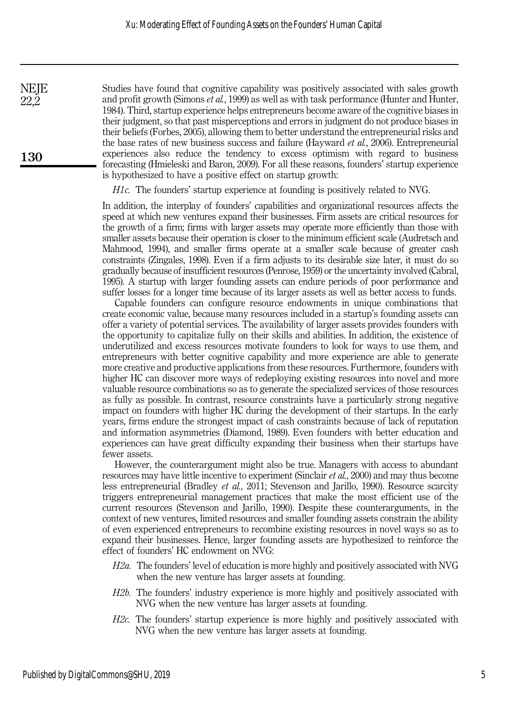Studies have found that cognitive capability was positively associated with sales growth and profit growth (Simons *et al.*, 1999) as well as with task performance (Hunter and Hunter, 1984). Third, startup experience helps entrepreneurs become aware of the cognitive biases in their judgment, so that past misperceptions and errors in judgment do not produce biases in their beliefs (Forbes, 2005), allowing them to better understand the entrepreneurial risks and the base rates of new business success and failure (Hayward et al., 2006). Entrepreneurial experiences also reduce the tendency to excess optimism with regard to business forecasting (Hmieleski and Baron, 2009). For all these reasons, founders' startup experience is hypothesized to have a positive effect on startup growth:

 $H1c$ . The founders' startup experience at founding is positively related to NVG.

In addition, the interplay of founders' capabilities and organizational resources affects the speed at which new ventures expand their businesses. Firm assets are critical resources for the growth of a firm; firms with larger assets may operate more efficiently than those with smaller assets because their operation is closer to the minimum efficient scale (Audretsch and Mahmood, 1994), and smaller firms operate at a smaller scale because of greater cash constraints (Zingales, 1998). Even if a firm adjusts to its desirable size later, it must do so gradually because of insufficient resources (Penrose, 1959) or the uncertainty involved (Cabral, 1995). A startup with larger founding assets can endure periods of poor performance and suffer losses for a longer time because of its larger assets as well as better access to funds.

Capable founders can configure resource endowments in unique combinations that create economic value, because many resources included in a startup's founding assets can offer a variety of potential services. The availability of larger assets provides founders with the opportunity to capitalize fully on their skills and abilities. In addition, the existence of underutilized and excess resources motivate founders to look for ways to use them, and entrepreneurs with better cognitive capability and more experience are able to generate more creative and productive applications from these resources. Furthermore, founders with higher HC can discover more ways of redeploying existing resources into novel and more valuable resource combinations so as to generate the specialized services of those resources as fully as possible. In contrast, resource constraints have a particularly strong negative impact on founders with higher HC during the development of their startups. In the early years, firms endure the strongest impact of cash constraints because of lack of reputation and information asymmetries (Diamond, 1989). Even founders with better education and experiences can have great difficulty expanding their business when their startups have fewer assets.

However, the counterargument might also be true. Managers with access to abundant resources may have little incentive to experiment (Sinclair et al., 2000) and may thus become less entrepreneurial (Bradley et al., 2011; Stevenson and Jarillo, 1990). Resource scarcity triggers entrepreneurial management practices that make the most efficient use of the current resources (Stevenson and Jarillo, 1990). Despite these counterarguments, in the context of new ventures, limited resources and smaller founding assets constrain the ability of even experienced entrepreneurs to recombine existing resources in novel ways so as to expand their businesses. Hence, larger founding assets are hypothesized to reinforce the effect of founders' HC endowment on NVG:

- H2a. The founders' level of education is more highly and positively associated with NVG when the new venture has larger assets at founding.
- H2b. The founders' industry experience is more highly and positively associated with NVG when the new venture has larger assets at founding.
- H2c. The founders' startup experience is more highly and positively associated with NVG when the new venture has larger assets at founding.

130

**NEJE** 22,2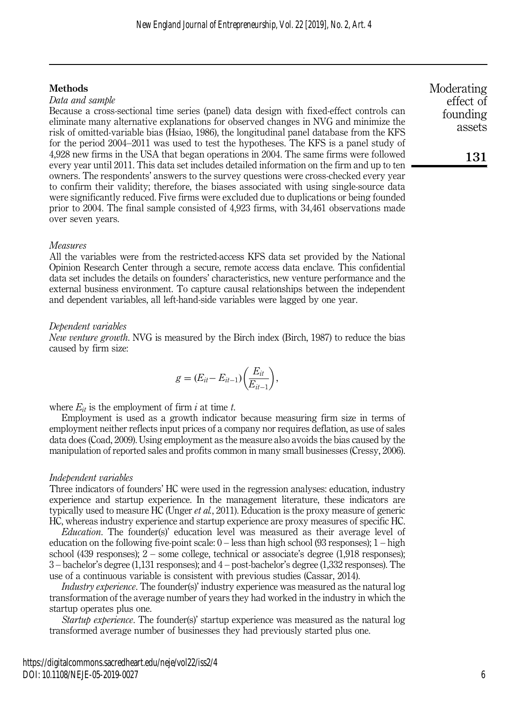# **Methods**

#### Data and sample

Because a cross-sectional time series (panel) data design with fixed-effect controls can eliminate many alternative explanations for observed changes in NVG and minimize the risk of omitted-variable bias (Hsiao, 1986), the longitudinal panel database from the KFS for the period 2004–2011 was used to test the hypotheses. The KFS is a panel study of 4,928 new firms in the USA that began operations in 2004. The same firms were followed every year until 2011. This data set includes detailed information on the firm and up to ten owners. The respondents' answers to the survey questions were cross-checked every year to confirm their validity; therefore, the biases associated with using single-source data were significantly reduced. Five firms were excluded due to duplications or being founded prior to 2004. The final sample consisted of 4,923 firms, with 34,461 observations made over seven years.

#### Measures

All the variables were from the restricted-access KFS data set provided by the National Opinion Research Center through a secure, remote access data enclave. This confidential data set includes the details on founders' characteristics, new venture performance and the external business environment. To capture causal relationships between the independent and dependent variables, all left-hand-side variables were lagged by one year.

### Dependent variables

New venture growth. NVG is measured by the Birch index (Birch, 1987) to reduce the bias caused by firm size:

$$
g=(E_{it}-E_{it-1})\bigg(\frac{E_{it}}{E_{it-1}}\bigg),\,
$$

where  $E_{it}$  is the employment of firm i at time t.

Employment is used as a growth indicator because measuring firm size in terms of employment neither reflects input prices of a company nor requires deflation, as use of sales data does (Coad, 2009). Using employment as the measure also avoids the bias caused by the manipulation of reported sales and profits common in many small businesses (Cressy, 2006).

# Independent variables

Three indicators of founders' HC were used in the regression analyses: education, industry experience and startup experience. In the management literature, these indicators are typically used to measure HC (Unger  $et al$ , 2011). Education is the proxy measure of generic HC, whereas industry experience and startup experience are proxy measures of specific HC.

Education. The founder(s)' education level was measured as their average level of education on the following five-point scale:  $0$  – less than high school (93 responses);  $1$  – high school (439 responses); 2 – some college, technical or associate's degree (1,918 responses); 3 – bachelor's degree (1,131 responses); and 4 – post-bachelor's degree (1,332 responses). The use of a continuous variable is consistent with previous studies (Cassar, 2014).

Industry experience. The founder(s)' industry experience was measured as the natural log transformation of the average number of years they had worked in the industry in which the startup operates plus one.

Startup experience. The founder(s)' startup experience was measured as the natural log transformed average number of businesses they had previously started plus one.

Moderating effect of founding assets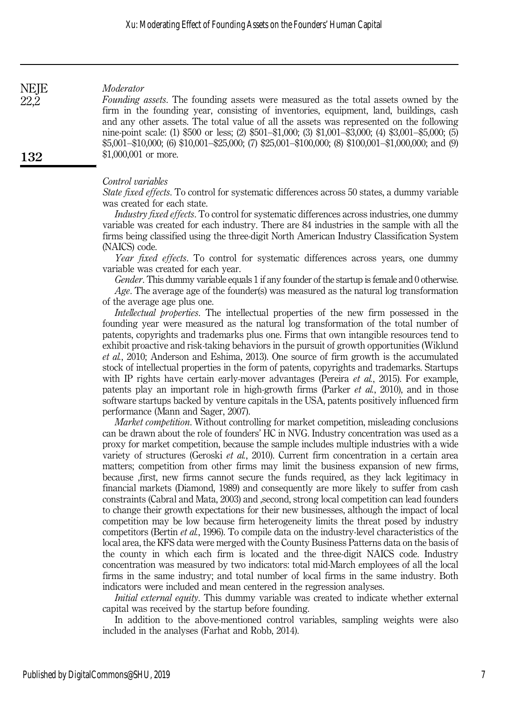### Moderator

Founding assets. The founding assets were measured as the total assets owned by the firm in the founding year, consisting of inventories, equipment, land, buildings, cash and any other assets. The total value of all the assets was represented on the following nine-point scale: (1) \$500 or less; (2) \$501–\$1,000; (3) \$1,001–\$3,000; (4) \$3,001–\$5,000; (5) \$5,001–\$10,000; (6) \$10,001–\$25,000; (7) \$25,001–\$100,000; (8) \$100,001–\$1,000,000; and (9) \$1,000,001 or more.

#### Control variables

State fixed effects. To control for systematic differences across 50 states, a dummy variable was created for each state.

Industry fixed effects. To control for systematic differences across industries, one dummy variable was created for each industry. There are 84 industries in the sample with all the firms being classified using the three-digit North American Industry Classification System (NAICS) code.

Year fixed effects. To control for systematic differences across years, one dummy variable was created for each year.

Gender. This dummy variable equals 1 if any founder of the startup is female and 0 otherwise. Age. The average age of the founder(s) was measured as the natural log transformation

of the average age plus one.

Intellectual properties. The intellectual properties of the new firm possessed in the founding year were measured as the natural log transformation of the total number of patents, copyrights and trademarks plus one. Firms that own intangible resources tend to exhibit proactive and risk-taking behaviors in the pursuit of growth opportunities (Wiklund et al., 2010; Anderson and Eshima, 2013). One source of firm growth is the accumulated stock of intellectual properties in the form of patents, copyrights and trademarks. Startups with IP rights have certain early-mover advantages (Pereira *et al.*, 2015). For example, patents play an important role in high-growth firms (Parker *et al.*, 2010), and in those software startups backed by venture capitals in the USA, patents positively influenced firm performance (Mann and Sager, 2007).

Market competition. Without controlling for market competition, misleading conclusions can be drawn about the role of founders' HC in NVG. Industry concentration was used as a proxy for market competition, because the sample includes multiple industries with a wide variety of structures (Geroski et al., 2010). Current firm concentration in a certain area matters; competition from other firms may limit the business expansion of new firms, because ,first, new firms cannot secure the funds required, as they lack legitimacy in financial markets (Diamond, 1989) and consequently are more likely to suffer from cash constraints (Cabral and Mata, 2003) and ,second, strong local competition can lead founders to change their growth expectations for their new businesses, although the impact of local competition may be low because firm heterogeneity limits the threat posed by industry competitors (Bertin et al., 1996). To compile data on the industry-level characteristics of the local area, the KFS data were merged with the County Business Patterns data on the basis of the county in which each firm is located and the three-digit NAICS code. Industry concentration was measured by two indicators: total mid-March employees of all the local firms in the same industry; and total number of local firms in the same industry. Both indicators were included and mean centered in the regression analyses.

*Initial external equity*. This dummy variable was created to indicate whether external capital was received by the startup before founding.

In addition to the above-mentioned control variables, sampling weights were also included in the analyses (Farhat and Robb, 2014).

**NEJE** 22,2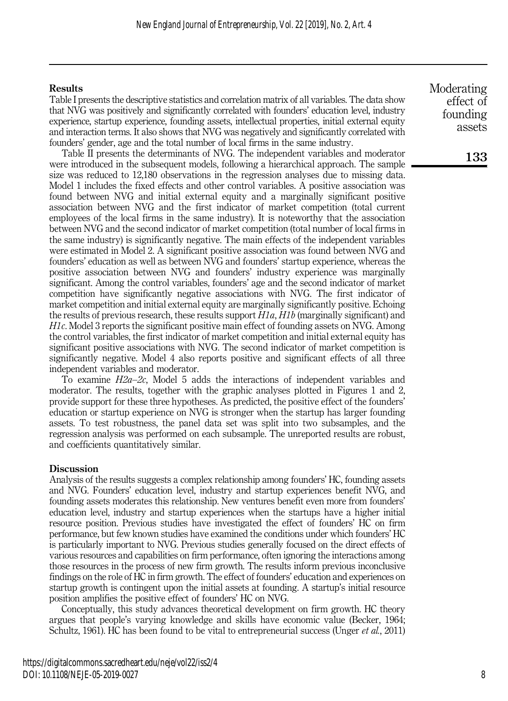# **Results**

Table I presents the descriptive statistics and correlation matrix of all variables. The data show that NVG was positively and significantly correlated with founders' education level, industry experience, startup experience, founding assets, intellectual properties, initial external equity and interaction terms. It also shows that NVG was negatively and significantly correlated with founders' gender, age and the total number of local firms in the same industry.

Table II presents the determinants of NVG. The independent variables and moderator were introduced in the subsequent models, following a hierarchical approach. The sample size was reduced to 12,180 observations in the regression analyses due to missing data. Model 1 includes the fixed effects and other control variables. A positive association was found between NVG and initial external equity and a marginally significant positive association between NVG and the first indicator of market competition (total current employees of the local firms in the same industry). It is noteworthy that the association between NVG and the second indicator of market competition (total number of local firms in the same industry) is significantly negative. The main effects of the independent variables were estimated in Model 2. A significant positive association was found between NVG and founders' education as well as between NVG and founders' startup experience, whereas the positive association between NVG and founders' industry experience was marginally significant. Among the control variables, founders' age and the second indicator of market competition have significantly negative associations with NVG. The first indicator of market competition and initial external equity are marginally significantly positive. Echoing the results of previous research, these results support  $H1a$ ,  $H1b$  (marginally significant) and H1c. Model 3 reports the significant positive main effect of founding assets on NVG. Among the control variables, the first indicator of market competition and initial external equity has significant positive associations with NVG. The second indicator of market competition is significantly negative. Model 4 also reports positive and significant effects of all three independent variables and moderator.

To examine  $H2a-2c$ , Model 5 adds the interactions of independent variables and moderator. The results, together with the graphic analyses plotted in Figures 1 and 2, provide support for these three hypotheses. As predicted, the positive effect of the founders' education or startup experience on NVG is stronger when the startup has larger founding assets. To test robustness, the panel data set was split into two subsamples, and the regression analysis was performed on each subsample. The unreported results are robust, and coefficients quantitatively similar.

# Discussion

Analysis of the results suggests a complex relationship among founders' HC, founding assets and NVG. Founders' education level, industry and startup experiences benefit NVG, and founding assets moderates this relationship. New ventures benefit even more from founders' education level, industry and startup experiences when the startups have a higher initial resource position. Previous studies have investigated the effect of founders' HC on firm performance, but few known studies have examined the conditions under which founders' HC is particularly important to NVG. Previous studies generally focused on the direct effects of various resources and capabilities on firm performance, often ignoring the interactions among those resources in the process of new firm growth. The results inform previous inconclusive findings on the role of HC in firm growth. The effect of founders' education and experiences on startup growth is contingent upon the initial assets at founding. A startup's initial resource position amplifies the positive effect of founders' HC on NVG.

Conceptually, this study advances theoretical development on firm growth. HC theory argues that people's varying knowledge and skills have economic value (Becker, 1964; Schultz, 1961). HC has been found to be vital to entrepreneurial success (Unger et al., 2011)

Moderating effect of founding assets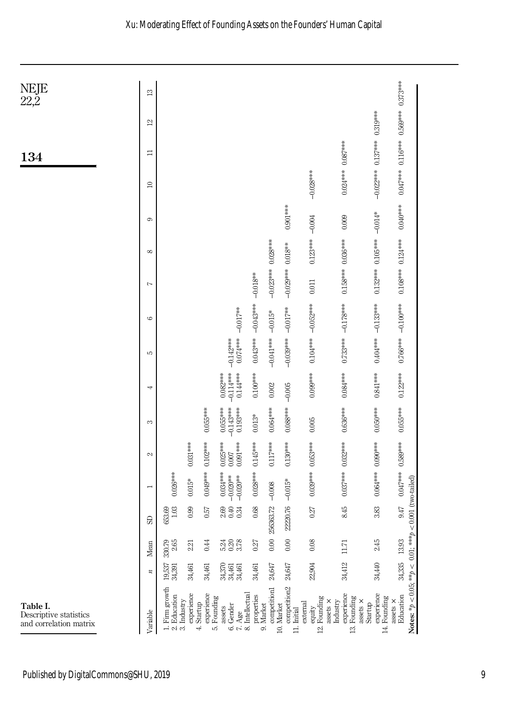

Published by DigitalCommons@SHU, 2019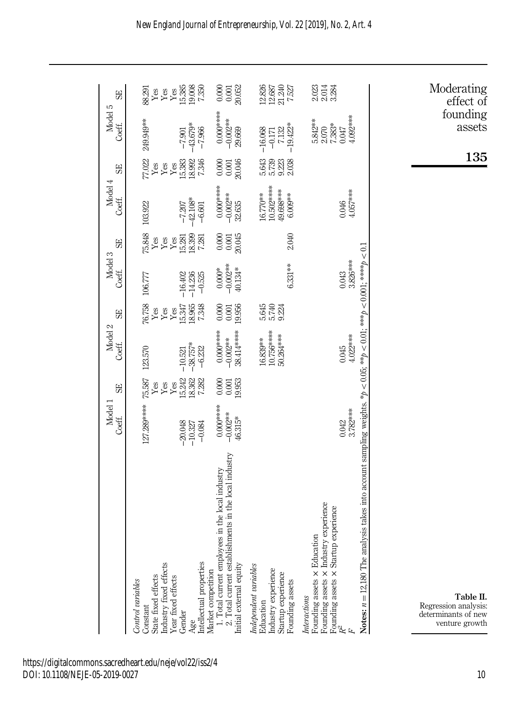|                                                                                                                                                                   | Model 1<br>Coeff.                   | 59                               | Model 2<br>Coeff.                           | 59                               | Model 3<br>Coeff.                   | 59                                    | Model 4<br>Coeff.                                | 59                               | Model 5<br>Coeff.                                      | 59                                                                     |
|-------------------------------------------------------------------------------------------------------------------------------------------------------------------|-------------------------------------|----------------------------------|---------------------------------------------|----------------------------------|-------------------------------------|---------------------------------------|--------------------------------------------------|----------------------------------|--------------------------------------------------------|------------------------------------------------------------------------|
| Industry fixed effects<br>State fixed effects<br>Control variables<br>Constant                                                                                    | 127.289****                         | 75.587<br>Yes<br>Yes             | 123.570                                     | 76.758<br>Yes<br>Yes             | 106.777                             | 75.848<br>Yes<br>$\operatorname{Yes}$ | 103.922                                          | 77.022<br>Yes<br>${\it Yes}$     | 249.949**                                              | 88.291<br>Yes<br>$\operatorname{Yes}$                                  |
| Intellectual properties<br>Year fixed effects<br>Gender<br>Age                                                                                                    | $-20.048$<br>$-10.327$<br>$-0.084$  | 15.242<br>18.362<br>7.282<br>Yes | $-38.757*$<br>$-6.232$<br>$-10.521$         | 18.965<br>7.348<br>15.347<br>Yes | $-14.236$<br>$-0.525$<br>$-16,402$  | 15.281<br>18.399<br>7.281<br>Yes      | $-42.108*$<br>$-7.207$<br>$-6,601$               | 15.383<br>18.992<br>7.346<br>Yes | 43.679*<br>$-7.966$<br>$-7.901$                        | $\begin{array}{c} \text{Yes} \\ 15.385 \\ 19.008 \\ 7.350 \end{array}$ |
| ts in the local industry<br>the local industry<br>1. Total current employees in<br>2. Total current establishmen<br>Initial external equity<br>Market competition | $0.000***$<br>$-0.002**$<br>46.315* | 0.000<br>19.953<br>$\!0.001$     | 38.414 ****<br>$0.000$ ******<br>$-0.002**$ | 19.956<br>0.000<br>$0.001\,$     | $-0.000*$<br>$-0.002***$<br>40.134* | $0.000$<br>$0.001$<br>$20.045$        | $0.000$ ****<br>$-0.002**$<br>32.635             | $0.001$<br>$20.046$<br>0.000     | $0.000$ *****<br>$-0.002**$<br>29.669                  | $\frac{0.000}{0.001}$                                                  |
| Independent variables<br>Industry experience<br>Startup experience<br>Founding assets<br>Education                                                                |                                     |                                  | 10.756*****<br>50.264 ***<br>16.839**       | 5.645<br>5.740<br>9.224          | 6.331**                             | 2.040                                 | $10.502***$<br>19.698***<br>$6.770**$<br>6.009** | 5.643<br>5.739<br>9.223<br>2.038 | $-19.422*$<br>7.132<br>$-16.068$<br>$-0.171$           | $\begin{array}{c} 12.826 \\ 12.687 \\ 21.240 \\ 7.527 \end{array}$     |
| Founding assets × Industry experience<br>Founding assets $\times$ Startup experience $R^2$<br>Founding assets × Education<br>Interactions<br>上                    | 3.782***<br>0.042                   |                                  | $4.022***$<br>0.045                         |                                  | 3.826***<br>0.043                   |                                       | 4.057***<br>0.046                                |                                  | 4.092****<br>5.842**<br>7.383*<br>$2.070\,$<br>$0.047$ | 2021<br>2014<br>3284                                                   |
| takes into account sampling weights. * $p < 0.05$ ; ** $p < 0.01$ ; *** $p < 0.001$ ; **** $p < 0.1$<br>Notes: $n = 12,180$ The analysis                          |                                     |                                  |                                             |                                  |                                     |                                       |                                                  |                                  |                                                        |                                                                        |
| Table II.<br>Regression analysis:<br>determinants of new<br>venture growth                                                                                        |                                     |                                  |                                             |                                  |                                     |                                       |                                                  | 135                              | founding<br>assets                                     | Moderating<br>effect of                                                |

https://digitalcommons.sacredheart.edu/neje/vol22/iss2/4 DOI: 10.1108/NEJE-05-2019-0027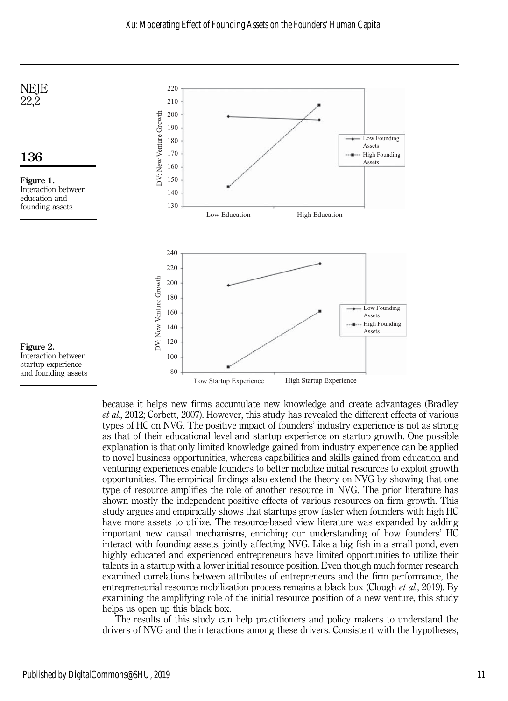

because it helps new firms accumulate new knowledge and create advantages (Bradley et al., 2012; Corbett, 2007). However, this study has revealed the different effects of various types of HC on NVG. The positive impact of founders' industry experience is not as strong as that of their educational level and startup experience on startup growth. One possible explanation is that only limited knowledge gained from industry experience can be applied to novel business opportunities, whereas capabilities and skills gained from education and venturing experiences enable founders to better mobilize initial resources to exploit growth opportunities. The empirical findings also extend the theory on NVG by showing that one type of resource amplifies the role of another resource in NVG. The prior literature has shown mostly the independent positive effects of various resources on firm growth. This study argues and empirically shows that startups grow faster when founders with high HC have more assets to utilize. The resource-based view literature was expanded by adding important new causal mechanisms, enriching our understanding of how founders' HC interact with founding assets, jointly affecting NVG. Like a big fish in a small pond, even highly educated and experienced entrepreneurs have limited opportunities to utilize their talents in a startup with a lower initial resource position. Even though much former research examined correlations between attributes of entrepreneurs and the firm performance, the entrepreneurial resource mobilization process remains a black box (Clough et al., 2019). By examining the amplifying role of the initial resource position of a new venture, this study helps us open up this black box.

The results of this study can help practitioners and policy makers to understand the drivers of NVG and the interactions among these drivers. Consistent with the hypotheses,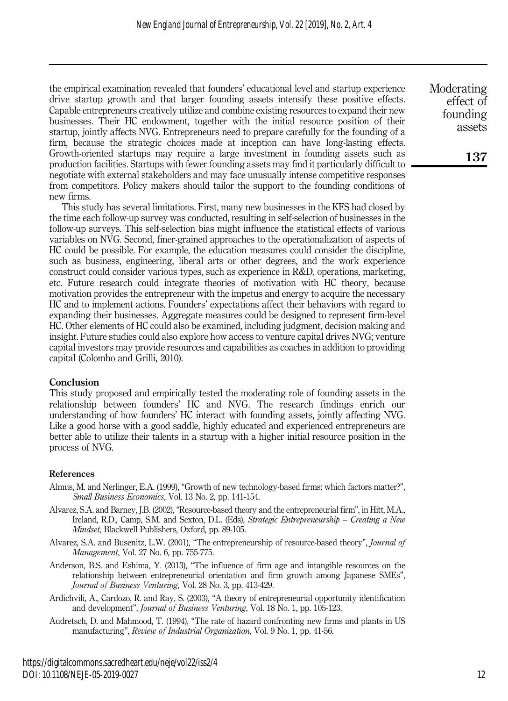the empirical examination revealed that founders' educational level and startup experience drive startup growth and that larger founding assets intensify these positive effects. Capable entrepreneurs creatively utilize and combine existing resources to expand their new businesses. Their HC endowment, together with the initial resource position of their startup, jointly affects NVG. Entrepreneurs need to prepare carefully for the founding of a firm, because the strategic choices made at inception can have long-lasting effects. Growth-oriented startups may require a large investment in founding assets such as production facilities. Startups with fewer founding assets may find it particularly difficult to negotiate with external stakeholders and may face unusually intense competitive responses from competitors. Policy makers should tailor the support to the founding conditions of new firms.

This study has several limitations. First, many new businesses in the KFS had closed by the time each follow-up survey was conducted, resulting in self-selection of businesses in the follow-up surveys. This self-selection bias might influence the statistical effects of various variables on NVG. Second, finer-grained approaches to the operationalization of aspects of HC could be possible. For example, the education measures could consider the discipline, such as business, engineering, liberal arts or other degrees, and the work experience construct could consider various types, such as experience in R&D, operations, marketing, etc. Future research could integrate theories of motivation with HC theory, because motivation provides the entrepreneur with the impetus and energy to acquire the necessary HC and to implement actions. Founders' expectations affect their behaviors with regard to expanding their businesses. Aggregate measures could be designed to represent firm-level HC. Other elements of HC could also be examined, including judgment, decision making and insight. Future studies could also explore how access to venture capital drives NVG; venture capital investors may provide resources and capabilities as coaches in addition to providing capital (Colombo and Grilli, 2010).

# Conclusion

This study proposed and empirically tested the moderating role of founding assets in the relationship between founders' HC and NVG. The research findings enrich our understanding of how founders' HC interact with founding assets, jointly affecting NVG. Like a good horse with a good saddle, highly educated and experienced entrepreneurs are better able to utilize their talents in a startup with a higher initial resource position in the process of NVG.

# References

- Almus, M. and Nerlinger, E.A. (1999), "Growth of new technology-based firms: which factors matter?", Small Business Economics, Vol. 13 No. 2, pp. 141-154.
- Alvarez, S.A. and Barney, J.B. (2002), "Resource-based theory and the entrepreneurial firm", in Hitt, M.A., Ireland, R.D., Camp, S.M. and Sexton, D.L. (Eds), Strategic Entrepreneurship – Creating a New Mindset, Blackwell Publishers, Oxford, pp. 89-105.
- Alvarez, S.A. and Busenitz, L.W. (2001), "The entrepreneurship of resource-based theory", Journal of Management, Vol. 27 No. 6, pp. 755-775.
- Anderson, B.S. and Eshima, Y. (2013), "The influence of firm age and intangible resources on the relationship between entrepreneurial orientation and firm growth among Japanese SMEs", Journal of Business Venturing, Vol. 28 No. 3, pp. 413-429.
- Ardichvili, A., Cardozo, R. and Ray, S. (2003), "A theory of entrepreneurial opportunity identification and development", Journal of Business Venturing, Vol. 18 No. 1, pp. 105-123.
- Audretsch, D. and Mahmood, T. (1994), "The rate of hazard confronting new firms and plants in US manufacturing", Review of Industrial Organization, Vol. 9 No. 1, pp. 41-56.

Moderating effect of founding assets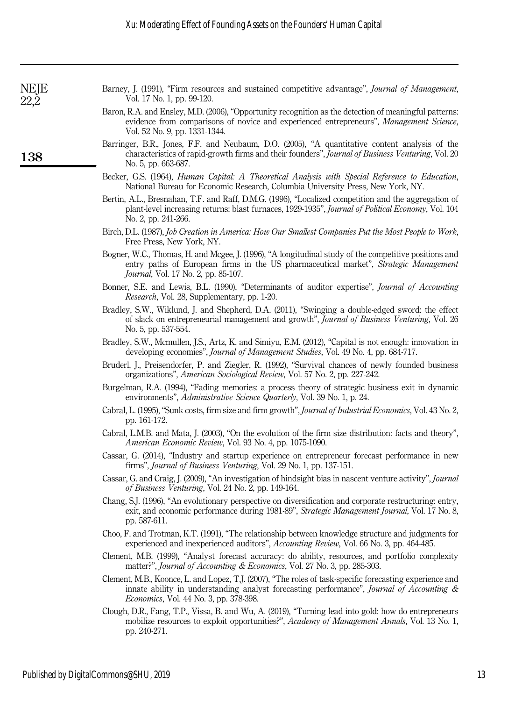Barney, J. (1991), "Firm resources and sustained competitive advantage", Journal of Management, Vol. 17 No. 1, pp. 99-120.

- Baron, R.A. and Ensley, M.D. (2006), "Opportunity recognition as the detection of meaningful patterns: evidence from comparisons of novice and experienced entrepreneurs", Management Science, Vol. 52 No. 9, pp. 1331-1344.
- Barringer, B.R., Jones, F.F. and Neubaum, D.O. (2005), "A quantitative content analysis of the characteristics of rapid-growth firms and their founders", Journal of Business Venturing, Vol. 20 No. 5, pp. 663-687.
- Becker, G.S. (1964), Human Capital: A Theoretical Analysis with Special Reference to Education, National Bureau for Economic Research, Columbia University Press, New York, NY.
- Bertin, A.L., Bresnahan, T.F. and Raff, D.M.G. (1996), "Localized competition and the aggregation of plant-level increasing returns: blast furnaces, 1929-1935", *Journal of Political Economy*, Vol. 104 No. 2, pp. 241-266.
- Birch, D.L. (1987), Job Creation in America: How Our Smallest Companies Put the Most People to Work, Free Press, New York, NY.
- Bogner, W.C., Thomas, H. and Mcgee, J. (1996), "A longitudinal study of the competitive positions and entry paths of European firms in the US pharmaceutical market", Strategic Management Journal, Vol. 17 No. 2, pp. 85-107.
- Bonner, S.E. and Lewis, B.L. (1990), "Determinants of auditor expertise", Journal of Accounting Research, Vol. 28, Supplementary, pp. 1-20.
- Bradley, S.W., Wiklund, J. and Shepherd, D.A. (2011), "Swinging a double-edged sword: the effect of slack on entrepreneurial management and growth", Journal of Business Venturing, Vol. 26 No. 5, pp. 537-554.
- Bradley, S.W., Mcmullen, J.S., Artz, K. and Simiyu, E.M. (2012), "Capital is not enough: innovation in developing economies", *Journal of Management Studies*, Vol. 49 No. 4, pp. 684-717.
- Bruderl, J., Preisendorfer, P. and Ziegler, R. (1992), "Survival chances of newly founded business organizations", American Sociological Review, Vol. 57 No. 2, pp. 227-242.
- Burgelman, R.A. (1994), "Fading memories: a process theory of strategic business exit in dynamic environments", Administrative Science Quarterly, Vol. 39 No. 1, p. 24.
- Cabral, L. (1995), "Sunk costs, firm size and firm growth", Journal of Industrial Economics, Vol. 43 No. 2, pp. 161-172.
- Cabral, L.M.B. and Mata, J. (2003), "On the evolution of the firm size distribution: facts and theory", American Economic Review, Vol. 93 No. 4, pp. 1075-1090.
- Cassar, G. (2014), "Industry and startup experience on entrepreneur forecast performance in new firms", Journal of Business Venturing, Vol. 29 No. 1, pp. 137-151.
- Cassar, G. and Craig, J. (2009), "An investigation of hindsight bias in nascent venture activity", Journal of Business Venturing, Vol. 24 No. 2, pp. 149-164.
- Chang, S.J. (1996), "An evolutionary perspective on diversification and corporate restructuring: entry, exit, and economic performance during 1981-89", Strategic Management Journal, Vol. 17 No. 8, pp. 587-611.
- Choo, F. and Trotman, K.T. (1991), "The relationship between knowledge structure and judgments for experienced and inexperienced auditors", Accounting Review, Vol. 66 No. 3, pp. 464-485.
- Clement, M.B. (1999), "Analyst forecast accuracy: do ability, resources, and portfolio complexity matter?", Journal of Accounting & Economics, Vol. 27 No. 3, pp. 285-303.
- Clement, M.B., Koonce, L. and Lopez, T.J. (2007), "The roles of task-specific forecasting experience and innate ability in understanding analyst forecasting performance", *Journal of Accounting &* Economics, Vol. 44 No. 3, pp. 378-398.
- Clough, D.R., Fang, T.P., Vissa, B. and Wu, A. (2019), "Turning lead into gold: how do entrepreneurs mobilize resources to exploit opportunities?", Academy of Management Annals, Vol. 13 No. 1, pp. 240-271.

**NEJE** 22,2

138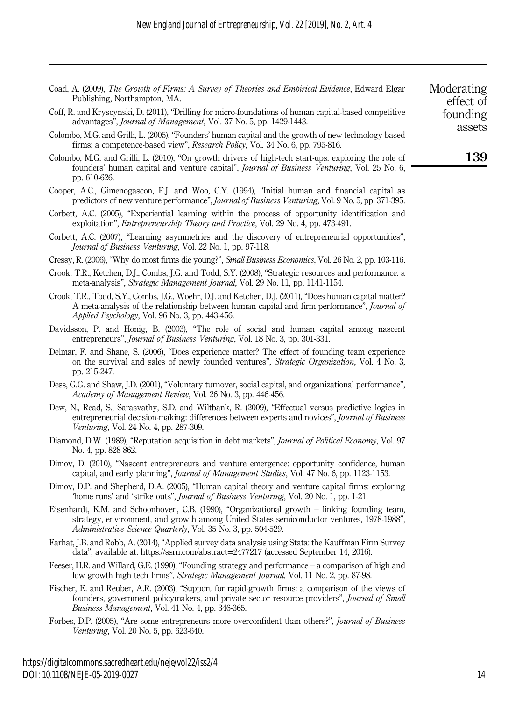| Moderating<br>effect of | Coad, A. (2009), The Growth of Firms: A Survey of Theories and Empirical Evidence, Edward Elgar<br>Publishing, Northampton, MA.                                                                                                                                     |
|-------------------------|---------------------------------------------------------------------------------------------------------------------------------------------------------------------------------------------------------------------------------------------------------------------|
| founding<br>assets      | Coff, R. and Kryscynski, D. (2011), "Drilling for micro-foundations of human capital-based competitive<br>advantages", Journal of Management, Vol. 37 No. 5, pp. 1429-1443.                                                                                         |
|                         | Colombo, M.G. and Grilli, L. (2005), "Founders' human capital and the growth of new technology-based<br>firms: a competence-based view", Research Policy, Vol. 34 No. 6, pp. 795-816.                                                                               |
| 139                     | Colombo, M.G. and Grilli, L. (2010), "On growth drivers of high-tech start-ups: exploring the role of<br>founders' human capital and venture capital", Journal of Business Venturing, Vol. 25 No. 6,<br>pp. 610-626.                                                |
|                         | Cooper, A.C., Gimenogascon, F.J. and Woo, C.Y. (1994), "Initial human and financial capital as<br>predictors of new venture performance", <i>Journal of Business Venturing</i> , Vol. 9 No. 5, pp. 371-395.                                                         |
|                         | Corbett, A.C. (2005), "Experiential learning within the process of opportunity identification and<br>exploitation", <i>Entrepreneurship Theory and Practice</i> , Vol. 29 No. 4, pp. 473-491.                                                                       |
|                         | Corbett, A.C. (2007), "Learning asymmetries and the discovery of entrepreneurial opportunities",<br>Journal of Business Venturing, Vol. 22 No. 1, pp. 97-118.                                                                                                       |
|                         | Cressy, R. (2006), "Why do most firms die young?", Small Business Economics, Vol. 26 No. 2, pp. 103-116.                                                                                                                                                            |
|                         | Crook, T.R., Ketchen, D.J., Combs, J.G. and Todd, S.Y. (2008), "Strategic resources and performance: a<br>meta-analysis", <i>Strategic Management Journal</i> , Vol. 29 No. 11, pp. 1141-1154.                                                                      |
|                         | Crook, T.R., Todd, S.Y., Combs, J.G., Woehr, D.J. and Ketchen, D.J. (2011), "Does human capital matter?<br>A meta-analysis of the relationship between human capital and firm performance", Journal of<br>Applied Psychology, Vol. 96 No. 3, pp. 443-456.           |
|                         | Davidsson, P. and Honig, B. (2003), "The role of social and human capital among nascent<br>entrepreneurs", Journal of Business Venturing, Vol. 18 No. 3, pp. 301-331.                                                                                               |
|                         | Delmar, F. and Shane, S. (2006), "Does experience matter? The effect of founding team experience<br>on the survival and sales of newly founded ventures", Strategic Organization, Vol. 4 No. 3,<br>pp. 215-247.                                                     |
|                         | Dess, G.G. and Shaw, J.D. (2001), "Voluntary turnover, social capital, and organizational performance",<br>Academy of Management Review, Vol. 26 No. 3, pp. 446-456.                                                                                                |
|                         | Dew, N., Read, S., Sarasvathy, S.D. and Wiltbank, R. (2009), "Effectual versus predictive logics in<br>entrepreneurial decision-making: differences between experts and novices", Journal of Business<br>Venturing, Vol. 24 No. 4, pp. 287-309.                     |
|                         | Diamond, D.W. (1989), "Reputation acquisition in debt markets", Journal of Political Economy, Vol. 97<br>No. 4, pp. 828-862.                                                                                                                                        |
|                         | Dimov, D. (2010), "Nascent entrepreneurs and venture emergence: opportunity confidence, human<br>capital, and early planning", <i>Journal of Management Studies</i> , Vol. 47 No. 6, pp. 1123-1153.                                                                 |
|                         | Dimov, D.P. and Shepherd, D.A. (2005), "Human capital theory and venture capital firms: exploring<br>'home runs' and 'strike outs", Journal of Business Venturing, Vol. 20 No. 1, pp. 1-21.                                                                         |
|                         | Eisenhardt, K.M. and Schoonhoven, C.B. (1990), "Organizational growth - linking founding team,<br>strategy, environment, and growth among United States semiconductor ventures, 1978-1988",<br><i>Administrative Science Quarterly, Vol. 35 No. 3, pp. 504-529.</i> |

Farhat, J.B. and Robb, A. (2014), "Applied survey data analysis using Stata: the Kauffman Firm Survey data", available at: [https://ssrn.com/abstract](https://ssrn.com/abstract=2477217)=2477217 (accessed September 14, 2016).

- Feeser, H.R. and Willard, G.E. (1990), "Founding strategy and performance a comparison of high and low growth high tech firms", Strategic Management Journal, Vol. 11 No. 2, pp. 87-98.
- Fischer, E. and Reuber, A.R. (2003), "Support for rapid-growth firms: a comparison of the views of founders, government policymakers, and private sector resource providers", Journal of Small Business Management, Vol. 41 No. 4, pp. 346-365.
- Forbes, D.P. (2005), "Are some entrepreneurs more overconfident than others?", Journal of Business Venturing, Vol. 20 No. 5, pp. 623-640.

https://digitalcommons.sacredheart.edu/neje/vol22/iss2/4 DOI: 10.1108/NEJE-05-2019-0027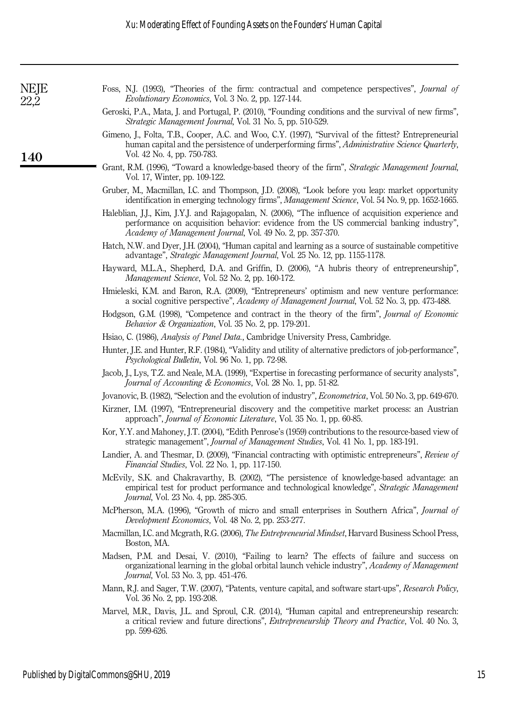| NEJE<br>22,2 | Foss, N.J. (1993), "Theories of the firm: contractual and competence perspectives", <i>Journal of</i><br>Evolutionary Economics, Vol. 3 No. 2, pp. 127-144.                                                                                                    |
|--------------|----------------------------------------------------------------------------------------------------------------------------------------------------------------------------------------------------------------------------------------------------------------|
|              | Geroski, P.A., Mata, J. and Portugal, P. (2010), "Founding conditions and the survival of new firms",<br>Strategic Management Journal, Vol. 31 No. 5, pp. 510-529.                                                                                             |
| <b>140</b>   | Gimeno, J., Folta, T.B., Cooper, A.C. and Woo, C.Y. (1997), "Survival of the fittest? Entrepreneurial<br>human capital and the persistence of underperforming firms", Administrative Science Quarterly,<br>Vol. 42 No. 4, pp. 750-783.                         |
|              | Grant, R.M. (1996), "Toward a knowledge-based theory of the firm", Strategic Management Journal,<br>Vol. 17, Winter, pp. 109-122.                                                                                                                              |
|              | Gruber, M., Macmillan, I.C. and Thompson, J.D. (2008), "Look before you leap: market opportunity<br>identification in emerging technology firms", Management Science, Vol. 54 No. 9, pp. 1652-1665.                                                            |
|              | Haleblian, J.J., Kim, J.Y.J. and Rajagopalan, N. (2006), "The influence of acquisition experience and<br>performance on acquisition behavior: evidence from the US commercial banking industry",<br>Academy of Management Journal, Vol. 49 No. 2, pp. 357-370. |
|              | Hatch, N.W. and Dyer, J.H. (2004), "Human capital and learning as a source of sustainable competitive<br>advantage", Strategic Management Journal, Vol. 25 No. 12, pp. 1155-1178.                                                                              |
|              | Hayward, M.L.A., Shepherd, D.A. and Griffin, D. (2006), "A hubris theory of entrepreneurship",<br>Management Science, Vol. 52 No. 2, pp. 160-172.                                                                                                              |
|              | Hmieleski, K.M. and Baron, R.A. (2009), "Entrepreneurs' optimism and new venture performance:<br>a social cognitive perspective", Academy of Management Journal, Vol. 52 No. 3, pp. 473-488.                                                                   |
|              | Hodgson, G.M. (1998), "Competence and contract in the theory of the firm", Journal of Economic<br>Behavior & Organization, Vol. 35 No. 2, pp. 179-201.                                                                                                         |
|              | Hsiao, C. (1986), Analysis of Panel Data., Cambridge University Press, Cambridge.                                                                                                                                                                              |
|              | Hunter, J.E. and Hunter, R.F. (1984), "Validity and utility of alternative predictors of job-performance",<br>Psychological Bulletin, Vol. 96 No. 1, pp. 72-98.                                                                                                |
|              | Jacob, J., Lys, T.Z. and Neale, M.A. (1999), "Expertise in forecasting performance of security analysts",<br>Journal of Accounting & Economics, Vol. 28 No. 1, pp. 51-82.                                                                                      |
|              | Jovanovic, B. (1982), "Selection and the evolution of industry", <i>Econometrica</i> , Vol. 50 No. 3, pp. 649-670.                                                                                                                                             |
|              | Kirzner, I.M. (1997), "Entrepreneurial discovery and the competitive market process: an Austrian<br>approach", Journal of Economic Literature, Vol. 35 No. 1, pp. 60-85.                                                                                       |
|              | Kor, Y.Y. and Mahoney, J.T. (2004), "Edith Penrose's (1959) contributions to the resource-based view of<br>strategic management", Journal of Management Studies, Vol. 41 No. 1, pp. 183-191.                                                                   |
|              | Landier, A. and Thesmar, D. (2009), "Financial contracting with optimistic entrepreneurs", Review of<br>Financial Studies, Vol. 22 No. 1, pp. 117-150.                                                                                                         |
|              | McEvily, S.K. and Chakravarthy, B. (2002), "The persistence of knowledge-based advantage: an<br>empirical test for product performance and technological knowledge", Strategic Management<br>Journal, Vol. 23 No. 4, pp. 285-305.                              |
|              | McPherson, M.A. (1996), "Growth of micro and small enterprises in Southern Africa", Journal of<br>Development Economics, Vol. 48 No. 2, pp. 253-277.                                                                                                           |
|              | Macmillan, I.C. and Mcgrath, R.G. (2006), The Entrepreneurial Mindset, Harvard Business School Press,<br>Boston, MA.                                                                                                                                           |
|              | Madsen, P.M. and Desai, V. (2010), "Failing to learn? The effects of failure and success on<br>organizational learning in the global orbital launch vehicle industry", Academy of Management<br>Journal, Vol. 53 No. 3, pp. 451-476.                           |
|              | Mann, R.J. and Sager, T.W. (2007), "Patents, venture capital, and software start-ups", Research Policy,<br>Vol. 36 No. 2, pp. 193-208.                                                                                                                         |
|              | Marvel, M.R., Davis, J.L. and Sproul, C.R. (2014), "Human capital and entrepreneurship research:<br>a critical review and future directions", <i>Entrepreneurship Theory and Practice</i> , Vol. 40 No. 3,<br>pp. 599-626.                                     |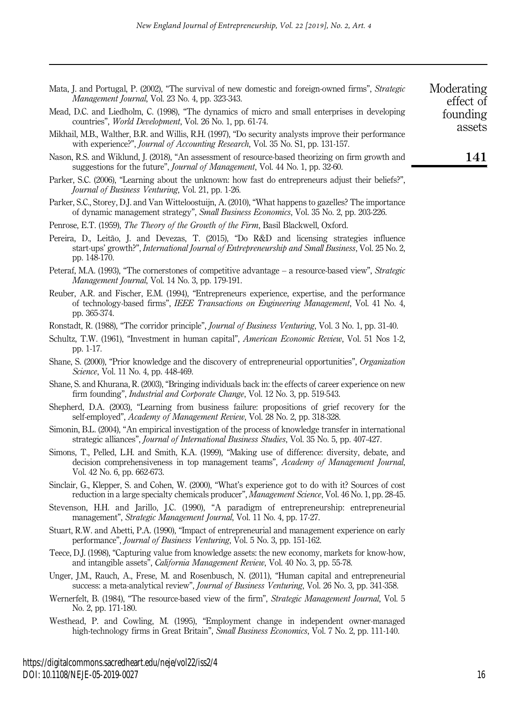| Mata, J. and Portugal, P. (2002), "The survival of new domestic and foreign-owned firms", Strategic<br>Management Journal, Vol. 23 No. 4, pp. 323-343.                                                                   | Moderating<br>effect of |
|--------------------------------------------------------------------------------------------------------------------------------------------------------------------------------------------------------------------------|-------------------------|
| Mead, D.C. and Liedholm, C. (1998), "The dynamics of micro and small enterprises in developing<br>countries", World Development, Vol. 26 No. 1, pp. 61-74.                                                               | founding<br>assets      |
| Mikhail, M.B., Walther, B.R. and Willis, R.H. (1997), "Do security analysts improve their performance<br>with experience?", <i>Journal of Accounting Research</i> , Vol. 35 No. S1, pp. 131-157.                         |                         |
| Nason, R.S. and Wiklund, J. (2018), "An assessment of resource-based theorizing on firm growth and<br>suggestions for the future", <i>Journal of Management</i> , Vol. 44 No. 1, pp. 32-60.                              | 141                     |
| Parker, S.C. (2006), "Learning about the unknown: how fast do entrepreneurs adjust their beliefs?",<br>Journal of Business Venturing, Vol. 21, pp. 1-26.                                                                 |                         |
| Parker, S.C., Storey, D.J. and Van Witteloostuijn, A. (2010), "What happens to gazelles? The importance<br>of dynamic management strategy", Small Business Economics, Vol. 35 No. 2, pp. 203-226.                        |                         |
| Penrose, E.T. (1959), The Theory of the Growth of the Firm, Basil Blackwell, Oxford.                                                                                                                                     |                         |
| Pereira, D., Leitão, J. and Devezas, T. (2015), "Do R&D and licensing strategies influence<br>start-ups' growth?", International Journal of Entrepreneurship and Small Business, Vol. 25 No. 2,<br>pp. 148-170.          |                         |
| Peteraf, M.A. (1993), "The cornerstones of competitive advantage – a resource-based view", Strategic<br>Management Journal, Vol. 14 No. 3, pp. 179-191.                                                                  |                         |
| Reuber, A.R. and Fischer, E.M. (1994), "Entrepreneurs experience, expertise, and the performance<br>of technology-based firms", IEEE Transactions on Engineering Management, Vol. 41 No. 4,<br>pp. 365-374.              |                         |
| Ronstadt, R. (1988), "The corridor principle", Journal of Business Venturing, Vol. 3 No. 1, pp. 31-40.                                                                                                                   |                         |
| Schultz, T.W. (1961), "Investment in human capital", American Economic Review, Vol. 51 Nos 1-2,<br>pp. 1-17.                                                                                                             |                         |
| Shane, S. (2000), "Prior knowledge and the discovery of entrepreneurial opportunities", <i>Organization</i><br><i>Science</i> , Vol. 11 No. 4, pp. 448-469.                                                              |                         |
| Shane, S. and Khurana, R. (2003), "Bringing individuals back in: the effects of career experience on new<br>firm founding", <i>Industrial and Corporate Change</i> , Vol. 12 No. 3, pp. 519-543.                         |                         |
| Shepherd, D.A. (2003), "Learning from business failure: propositions of grief recovery for the<br>self-employed", Academy of Management Review, Vol. 28 No. 2, pp. 318-328.                                              |                         |
| Simonin, B.L. (2004), "An empirical investigation of the process of knowledge transfer in international<br>strategic alliances", <i>Journal of International Business Studies</i> , Vol. 35 No. 5, pp. 407-427.          |                         |
| Simons, T., Pelled, L.H. and Smith, K.A. (1999), "Making use of difference: diversity, debate, and<br>decision comprehensiveness in top management teams", Academy of Management Journal,<br>Vol. 42 No. 6, pp. 662-673. |                         |
| Sinclair, G., Klepper, S. and Cohen, W. (2000), "What's experience got to do with it? Sources of cost<br>reduction in a large specialty chemicals producer", Management Science, Vol. 46 No. 1, pp. 28-45.               |                         |
| Stevenson, H.H. and Jarillo, J.C. (1990), "A paradigm of entrepreneurship: entrepreneurial<br>management", Strategic Management Journal, Vol. 11 No. 4, pp. 17-27.                                                       |                         |
| Stuart, R.W. and Abetti, P.A. (1990), "Impact of entrepreneurial and management experience on early<br>performance", Journal of Business Venturing, Vol. 5 No. 3, pp. 151-162.                                           |                         |
| Teece, D.J. (1998), "Capturing value from knowledge assets: the new economy, markets for know-how,<br>and intangible assets", <i>California Management Review</i> , Vol. 40 No. 3, pp. 55-78.                            |                         |
| Unger, J.M., Rauch, A., Frese, M. and Rosenbusch, N. (2011), "Human capital and entrepreneurial<br>success: a meta-analytical review", Journal of Business Venturing, Vol. 26 No. 3, pp. 341-358.                        |                         |
| Wernerfelt, B. (1984), "The resource-based view of the firm", Strategic Management Journal, Vol. 5<br>No. 2, pp. 171-180.                                                                                                |                         |
| Westhead, P. and Cowling, M. (1995), "Employment change in independent owner-managed<br>high-technology firms in Great Britain", Small Business Economics, Vol. 7 No. 2, pp. 111-140.                                    |                         |

https://digitalcommons.sacredheart.edu/neje/vol22/iss2/4 DOI: 10.1108/NEJE-05-2019-0027